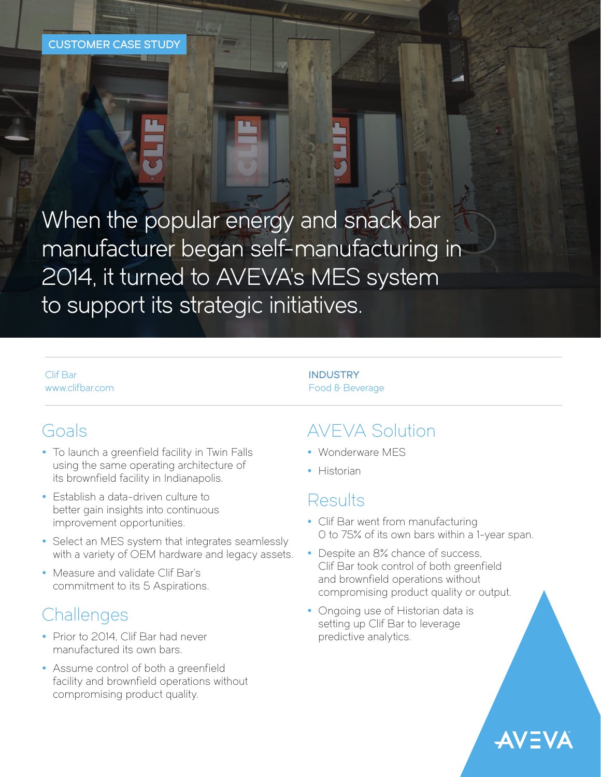When the popular energy and snack bar manufacturer began self-manufacturing in 2014, it turned to AVEVA's MES system to support its strategic initiatives.

Clif Bar [www.clifbar.com](https://www.clifbar.com/)

## Goals

- To launch a greenfield facility in Twin Falls using the same operating architecture of its brownfield facility in Indianapolis.
- Establish a data-driven culture to better gain insights into continuous improvement opportunities.
- Select an MES system that integrates seamlessly with a variety of OEM hardware and legacy assets.
- Measure and validate Clif Bar's commitment to its 5 Aspirations.

# **Challenges**

- Prior to 2014, Clif Bar had never manufactured its own bars.
- Assume control of both a greenfield facility and brownfield operations without compromising product quality.

## INDUSTRY Food & Beverage

# AVEVA Solution

- Wonderware MES
- Historian

## Results

- Clif Bar went from manufacturing 0 to 75% of its own bars within a 1-year span.
- Despite an 8% chance of success, Clif Bar took control of both greenfield and brownfield operations without compromising product quality or output.
- Ongoing use of Historian data is setting up Clif Bar to leverage predictive analytics.

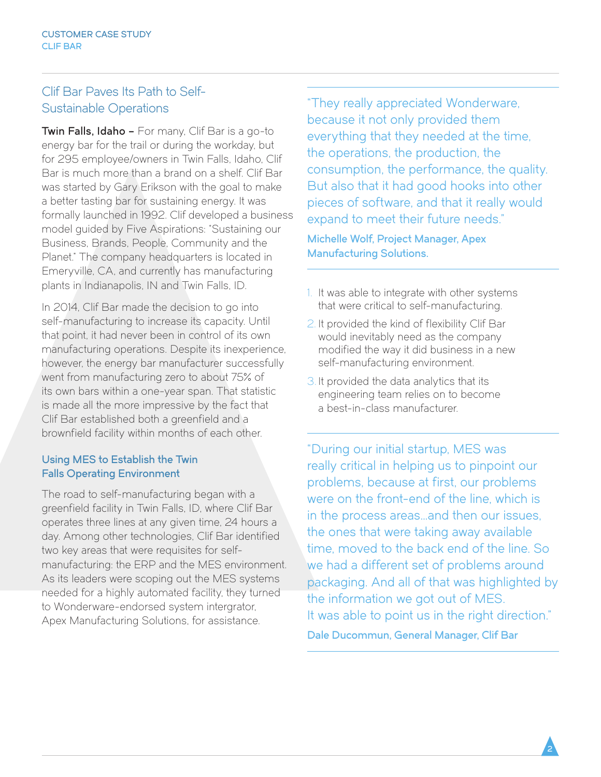## Clif Bar Paves Its Path to Self-Sustainable Operations

Twin Falls, Idaho - For many, Clif Bar is a go-to energy bar for the trail or during the workday, but for 295 employee/owners in Twin Falls, Idaho, Clif Bar is much more than a brand on a shelf. Clif Bar was started by Gary Erikson with the goal to make a better tasting bar for sustaining energy. It was formally launched in 1992. Clif developed a business model guided by Five Aspirations: "Sustaining our Business, Brands, People, Community and the Planet." The company headquarters is located in Emeryville, CA, and currently has manufacturing plants in Indianapolis, IN and Twin Falls, ID.

In 2014, Clif Bar made the decision to go into self-manufacturing to increase its capacity. Until that point, it had never been in control of its own manufacturing operations. Despite its inexperience, however, the energy bar manufacturer successfully went from manufacturing zero to about 75% of its own bars within a one-year span. That statistic is made all the more impressive by the fact that Clif Bar established both a greenfield and a brownfield facility within months of each other.

## Using MES to Establish the Twin Falls Operating Environment

The road to self-manufacturing began with a greenfield facility in Twin Falls, ID, where Clif Bar operates three lines at any given time, 24 hours a day. Among other technologies, Clif Bar identified two key areas that were requisites for selfmanufacturing: the ERP and the MES environment. As its leaders were scoping out the MES systems needed for a highly automated facility, they turned to Wonderware-endorsed system intergrator, Apex Manufacturing Solutions, for assistance.

"They really appreciated Wonderware, because it not only provided them everything that they needed at the time, the operations, the production, the consumption, the performance, the quality. But also that it had good hooks into other pieces of software, and that it really would expand to meet their future needs."

Michelle Wolf, Project Manager, Apex Manufacturing Solutions.

- 1. It was able to integrate with other systems that were critical to self-manufacturing.
- 2. It provided the kind of flexibility Clif Bar would inevitably need as the company modified the way it did business in a new self-manufacturing environment.
- 3. It provided the data analytics that its engineering team relies on to become a best-in-class manufacturer.

"During our initial startup, MES was really critical in helping us to pinpoint our problems, because at first, our problems were on the front-end of the line, which is in the process areas…and then our issues, the ones that were taking away available time, moved to the back end of the line. So we had a different set of problems around packaging. And all of that was highlighted by the information we got out of MES. It was able to point us in the right direction." Dale Ducommun, General Manager, Clif Bar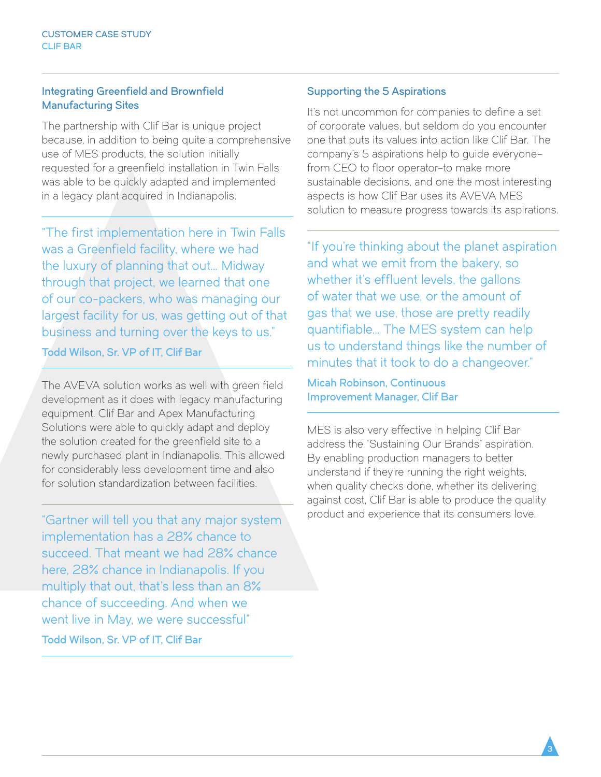## Integrating Greenfield and Brownfield Manufacturing Sites

The partnership with Clif Bar is unique project because, in addition to being quite a comprehensive use of MES products, the solution initially requested for a greenfield installation in Twin Falls was able to be quickly adapted and implemented in a legacy plant acquired in Indianapolis.

"The first implementation here in Twin Falls was a Greenfield facility, where we had the luxury of planning that out… Midway through that project, we learned that one of our co-packers, who was managing our largest facility for us, was getting out of that business and turning over the keys to us."

Todd Wilson, Sr. VP of IT, Clif Bar

The AVEVA solution works as well with green field development as it does with legacy manufacturing equipment. Clif Bar and Apex Manufacturing Solutions were able to quickly adapt and deploy the solution created for the greenfield site to a newly purchased plant in Indianapolis. This allowed for considerably less development time and also for solution standardization between facilities.

"Gartner will tell you that any major system implementation has a 28% chance to succeed. That meant we had 28% chance here, 28% chance in Indianapolis. If you multiply that out, that's less than an 8% chance of succeeding. And when we went live in May, we were successful" Todd Wilson, Sr. VP of IT, Clif Bar

## Supporting the 5 Aspirations

It's not uncommon for companies to define a set of corporate values, but seldom do you encounter one that puts its values into action like Clif Bar. The company's 5 aspirations help to guide everyone– from CEO to floor operator–to make more sustainable decisions, and one the most interesting aspects is how Clif Bar uses its AVEVA MES solution to measure progress towards its aspirations.

"If you're thinking about the planet aspiration and what we emit from the bakery, so whether it's effluent levels, the gallons of water that we use, or the amount of gas that we use, those are pretty readily quantifiable… The MES system can help us to understand things like the number of minutes that it took to do a changeover."

Micah Robinson, Continuous Improvement Manager, Clif Bar

MES is also very effective in helping Clif Bar address the "Sustaining Our Brands" aspiration. By enabling production managers to better understand if they're running the right weights, when quality checks done, whether its delivering against cost, Clif Bar is able to produce the quality product and experience that its consumers love.